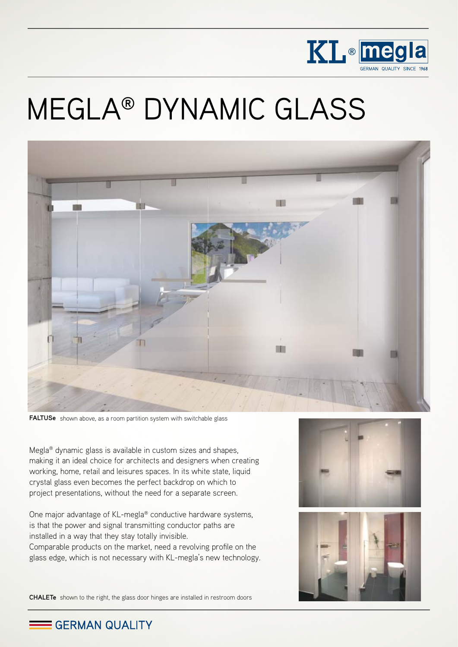

# MEGLA® DYNAMIC GLASS



**FALTUSe** shown above, as a room partition system with switchable glass

Megla® dynamic glass is available in custom sizes and shapes, making it an ideal choice for architects and designers when creating working, home, retail and leisures spaces. In its white state, liquid crystal glass even becomes the perfect backdrop on which to project presentations, without the need for a separate screen.

One major advantage of KL-megla® conductive hardware systems, is that the power and signal transmitting conductor paths are installed in a way that they stay totally invisible. Comparable products on the market, need a revolving profile on the glass edge, which is not necessary with KL-megla's new technology.





**CHALETe** shown to the right, the glass door hinges are installed in restroom doors

GERMAN QUALITY